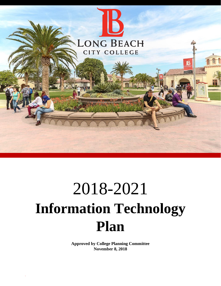

# 2018-2021 **Information Technology Plan**

**Approved by College Planning Committee November 8, 2018**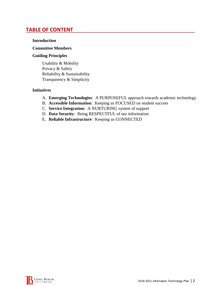### **TABLE OF CONTENT**

#### **Introduction**

#### **Committee Members**

#### **Guiding Principles**

Usability & Mobility Privacy & Safety Reliability & Sustainability Transparency & Simplicity

#### **Initiatives**

- A. **Emerging Technologies**: A PURPOSEFUL approach towards academic technology
- B. **Accessible Information**: Keeping us FOCUSED on student success
- C. **Service Integration**: A NURTURING system of support
- D. **Data Security**: Being RESPECTFUL of our information
- E. **Reliable Infrastructure**: Keeping us CONNECTED

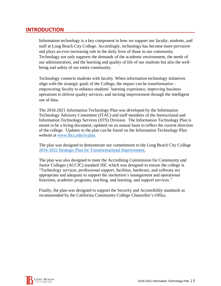### **INTRODUCTION**

Information technology is a key component in how we support our faculty, students, and staff at Long Beach City College. Accordingly, technology has become more pervasive and plays an ever-increasing role in the daily lives of those in our community. Technology not only supports the demands of the academic environment, the needs of our administration, and the learning and quality of life of our students but also the wellbeing and safety of our entire community.

Technology connects students with faculty. When information technology initiatives align with the strategic goals of the College, the impact can be transformative – empowering faculty to enhance students' learning experience, improving business operations to deliver quality services, and inciting improvement through the intelligent use of data.

The 2018-2021 Information Technology Plan was developed by the Information Technology Advisory Committee (ITAC) and staff members of the Instructional and Information Technology Services (IITS) Division. The Information Technology Plan is meant to be a living document, updated on an annual basis to reflect the current direction of the college. Updates to the plan can be found on the Information Technology Plan website at [www.lbcc.edu/it-plan.](http://www.lbcc.edu/it-plan)

The plan was designed to demonstrate our commitment to the Long Beach City College [2016-2022 Strategic Plan for Transformational Improvement.](https://www.lbcc.edu/sites/main/files/file-attachments/lbcc-strategic-plan.pdf)

The plan was also designed to meet the Accrediting Commission for Community and Junior Colleges (ACCJC) standard IIIC which was designed to ensure the college is "Technology services, professional support, facilities, hardware, and software are appropriate and adequate to support the institution's management and operational functions, academic programs, teaching, and learning, and support services."

Finally, the plan was designed to support the Security and Accessibility standards as recommended by the California Community College Chancellor's Office.

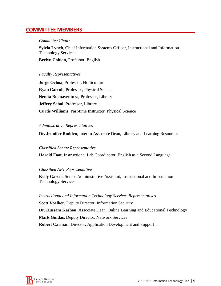### **COMMITTEE MEMBERS**

#### *Committee Chairs*

**Sylvia Lynch**, Chief Information Systems Officer, Instructional and Information Technology Services **Berlyn Cobian,** Professor, English

#### *Faculty Representatives*

**Jorge Ochoa**, Professor, Horticulture **Ryan Carroll,** Professor, Physical Science **Nenita Buenaventura,** Professor, Library **Jeffery Sabol**, Professor, Library **Curtis Williams**, Part-time Instructor, Physical Science

#### *Administrative Representatives*

**Dr. Jennifer Rodden**, Interim Associate Dean, Library and Learning Resources

#### *Classified Senate Representative*

**Harold Foot**, Instructional Lab Coordinator, English as a Second Language

#### *Classified AFT Representative*

**Kelly Garcia**, Senior Administrative Assistant, Instructional and Information Technology Services

*Instructional and Information Technology Services Representatives* **Scott Voelker**, Deputy Director, Information Security **Dr. Hussam Kashou**, Associate Dean, Online Learning and Educational Technology **Mark Guidas**, Deputy Director, Network Services **Robert Carman**, Director, Application Development and Support

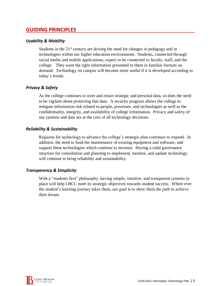### **GUIDING PRINCIPLES**

#### *Usability & Mobility*

Students in the  $21<sup>st</sup>$  century are driving the need for changes in pedagogy and in technologies within our higher education environments. Students, connected through social media and mobile applications, expect to be connected to faculty, staff, and the college. They want the right information presented to them in familiar formats on demand. Technology on campus will become more useful if it is developed according to today's trends.

#### *Privacy & Safety*

As the college continues to store and retain strategic and personal data, so does the need to be vigilant about protecting that data. A security program allows the college to mitigate information risk related to people, processes, and technologies as well as the confidentiality, integrity, and availability of college information. Privacy and safety of our systems and data are at the core of all technology decisions.

#### *Reliability & Sustainability*

Requests for technology to advance the college's strategic plan continues to expand. In addition, the need to fund the maintenance of existing equipment and software, and support these technologies which continue to increase. Having a solid governance structure for consultation and planning to implement, monitor, and update technology will continue to bring reliability and sustainability.

#### *Transparency & Simplicity*

With a "students first" philosophy, having simple, intuitive, and transparent systems in place will help LBCC meet its strategic objectives towards student success. Where ever the student's learning journey takes them, our goal is to show them the path to achieve their dream.

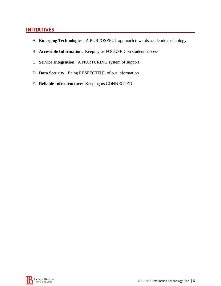### **INITIATIVES**

- A. **Emerging Technologies**: A PURPOSEFUL approach towards academic technology
- B. **Accessible Information**: Keeping us FOCUSED on student success
- C. **Service Integration**: A NURTURING system of support
- D. **Data Security**: Being RESPECTFUL of our information
- E. **Reliable Infrastructure**: Keeping us CONNECTED

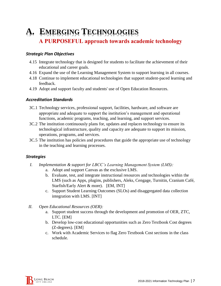# **A. EMERGING TECHNOLOGIES** A PURPOSEFUL approach towards academic technology

#### *Strategic Plan Objectives*

- 4.15 Integrate technology that is designed for students to facilitate the achievement of their educational and career goals.
- 4.16 Expand the use of the Learning Management System to support learning in all courses.
- 4.18 Continue to implement educational technologies that support student-paced learning and feedback.
- 4.19 Adopt and support faculty and students' use of Open Education Resources.

#### *Accreditation Standards*

- 3C.1 Technology services, professional support, facilities, hardware, and software are appropriate and adequate to support the institution's management and operational functions, academic programs, teaching, and learning, and support services.
- 3C.2 The institution continuously plans for, updates and replaces technology to ensure its technological infrastructure, quality and capacity are adequate to support its mission, operations, programs, and services.
- 3C.5 The institution has policies and procedures that guide the appropriate use of technology in the teaching and learning processes.

- *I. Implementation & support for LBCC's Learning Management System (LMS):*
	- a. Adopt and support Canvas as the exclusive LMS.
	- b. Evaluate, test, and integrate instructional resources and technologies within the LMS (such as Apps, plugins, publishers, Aleks, Cengage, Turnitin, Cranium Café, Starfish/Early Alert & more). [EM, INT]
	- c. Support Student Learning Outcomes (SLOs) and disaggregated data collection integration with LMS. [INT]
- *II. Open Educational Resources (OER):*
	- a. Support student success through the development and promotion of OER, ZTC, LTC. [EM]
	- b. Develop low-cost educational opportunities such as Zero Textbook Cost degrees (Z-degrees). [EM]
	- c. Work with Academic Services to flag Zero Textbook Cost sections in the class schedule.

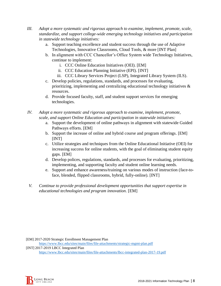- *III. Adopt a more systematic and rigorous approach to examine, implement, promote, scale, standardize, and support college-wide emerging technology initiatives and participation in statewide technology initiatives:*
	- a. Support teaching excellence and student success through the use of Adaptive Technologies, Innovative Classrooms, Cloud Tools, & more [INT Plan]
	- b. In alignment with CCC Chancellor's Office System wide Technology Initiatives, continue to implement:
		- i. CCC Online Education Initiatives (OEI). [EM]
		- ii. CCC Education Planning Initiative (EPI). [INT]
		- iii. CCC Library Services Project (LSP), Integrated Library System (ILS).
	- c. Develop policies, regulations, standards, and processes for evaluating, prioritizing, implementing and centralizing educational technology initiatives  $\&$ resources.
	- d. Provide focused faculty, staff, and student support services for emerging technologies.
- *IV. Adopt a more systematic and rigorous approach to examine, implement, promote, scale, and support Online Education and participation in statewide initiatives:*
	- a. Support the development of online pathways in alignment with statewide Guided Pathways efforts. [EM]
	- b. Support the increase of online and hybrid course and program offerings. [EM] [INT]
	- c. Utilize strategies and techniques from the Online Educational Initiative (OEI) for increasing success for online students, with the goal of eliminating student equity gaps. [EM]
	- d. Develop polices, regulations, standards, and processes for evaluating, prioritizing, implementing, and supporting faculty and student online learning needs.
	- e. Support and enhance awareness/training on various modes of instruction (face-toface, blended, flipped classrooms, hybrid, fully-online). [INT]
- *V. Continue to provide professional development opportunities that support expertise in educational technologies and program innovation.* [EM]

[EM] 2017-2020 Strategic Enrollment Management Plan <https://www.lbcc.edu/sites/main/files/file-attachments/strategic-mgmt-plan.pdf> [INT] 2017-2019 LBCC Integrated Plan <https://www.lbcc.edu/sites/main/files/file-attachments/lbcc-integrated-plan-2017-19.pdf>

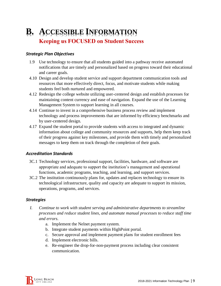# **B. ACCESSIBLE INFORMATION Keeping us FOCUSED on Student Success**

#### *Strategic Plan Objectives*

- 1.9 Use technology to ensure that all students guided into a pathway receive automated notifications that are timely and personalized based on progress toward their educational and career goals.
- 4.10 Design and develop student service and support department communication tools and resources that more effectively direct, focus, and motivate students while making students feel both nurtured and empowered.
- 4.12 Redesign the college website utilizing user-centered design and establish processes for maintaining content currency and ease of navigation. Expand the use of the Learning Management System to support learning in all courses.
- 4.14 Continue to invest in a comprehensive business process review and implement technology and process improvements that are informed by efficiency benchmarks and by user-centered design.
- 4.17 Expand the student portal to provide students with access to integrated and dynamic information about college and community resources and supports, help them keep track of their progress against key milestones, and provide them with timely and personalized messages to keep them on track through the completion of their goals.

#### *Accreditation Standards*

- 3C.1 Technology services, professional support, facilities, hardware, and software are appropriate and adequate to support the institution's management and operational functions, academic programs, teaching, and learning, and support services.
- 3C.2 The institution continuously plans for, updates and replaces technology to ensure its technological infrastructure, quality and capacity are adequate to support its mission, operations, programs, and services.

- *I. Continue to work with student serving and administrative departments to streamline processes and reduce student lines, and automate manual processes to reduce staff time and errors.*
	- a. Implement the Nelnet payment system.
	- b. Integrate student payments within HighPoint portal.
	- c. Secure approval and implement payment plans for student enrollment fees
	- d. Implement electronic bills.
	- e. Re-engineer the drop-for-non-payment process including clear consistent communication.

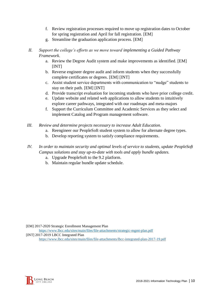- f. Review registration processes required to move up registration dates to October for spring registration and April for fall registration. [EM]
- g. Streamline the graduation application process. [EM]
- *II. Support the college's efforts as we move toward implementing a Guided Pathway Framework.*
	- a. Review the Degree Audit system and make improvements as identified. [EM] [INT]
	- b. Reverse engineer degree audit and inform students when they successfully complete certificates or degrees. [EM] [INT]
	- c. Assist student service departments with communication to "nudge" students to stay on their path. [EM] [INT]
	- d. Provide transcript evaluation for incoming students who have prior college credit.
	- e. Update website and related web applications to allow students to intuitively explore career pathways, integrated with our roadmaps and meta-majors
	- f. Support the Curriculum Committee and Academic Services as they select and implement Catalog and Program management software.
- *III. Review and determine projects necessary to increase Adult Education.*
	- a. Reengineer our PeopleSoft student system to allow for alternate degree types.
	- b. Develop reporting system to satisfy compliance requirements.
- *IV. In order to maintain security and optimal levels of service to students, update PeopleSoft Campus solutions and stay up-to-date with tools and apply bundle updates.*
	- a. Upgrade PeopleSoft to the 9.2 platform.
	- b. Maintain regular bundle update schedule.

[EM] 2017-2020 Strategic Enrollment Management Plan <https://www.lbcc.edu/sites/main/files/file-attachments/strategic-mgmt-plan.pdf>

[INT] 2017-2019 LBCC Integrated Plan

<https://www.lbcc.edu/sites/main/files/file-attachments/lbcc-integrated-plan-2017-19.pdf>

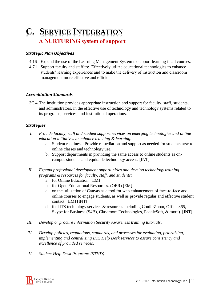# **C. SERVICE INTEGRATION A NURTURING system of support**

#### *Strategic Plan Objectives*

- 4.16 Expand the use of the Learning Management System to support learning in all courses.
- 4.7.1 Support faculty and staff to: Effectively utilize educational technologies to enhance students' learning experiences and to make the delivery of instruction and classroom management more effective and efficient.

#### *Accreditation Standards*

3C.4 The institution provides appropriate instruction and support for faculty, staff, students, and administrators, in the effective use of technology and technology systems related to its programs, services, and institutional operations.

- *I. Provide faculty, staff and student support services on emerging technologies and online education initiatives to enhance teaching & learning.*
	- a. Student readiness: Provide remediation and support as needed for students new to online classes and technology use.
	- b. Support departments in providing the same access to online students as oncampus students and equitable technology access. [INT]
- *II. Expand professional development opportunities and develop technology training programs & resources for faculty, staff, and students:*
	- a. for Online Education. [EM]
	- b. for Open Educational Resources. (OER) [EM]
	- c. on the utilization of Canvas as a tool for web enhancement of face-to-face and online courses to engage students, as well as provide regular and effective student contact. [EM] [INT]
	- d. for IITS technology services & resources including ConferZoom, Office 365, Skype for Business (S4B), Classroom Technologies, PeopleSoft, & more). [INT]
- *III. Develop or procure Information Security Awareness training tutorials.*
- *IV. Develop policies, regulations, standards, and processes for evaluating, prioritizing, implementing and centralizing IITS Help Desk services to assure consistency and excellence of provided services.*
- *V. Student Help Desk Program: (STHD)*

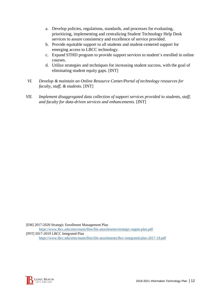- a. Develop policies, regulations, standards, and processes for evaluating, prioritizing, implementing and centralizing Student Technology Help Desk services to assure consistency and excellence of service provided.
- b. Provide equitable support to all students and student-centered support for emerging access to LBCC technology.
- c. Expand STHD program to provide support services to student's enrolled in online courses.
- d. Utilize strategies and techniques for increasing student success, with the goal of eliminating student equity gaps. [INT]
- *VI. Develop & maintain an Online Resource Center/Portal of technology resources for faculty, staff, & students.* [INT]
- *VII. Implement disaggregated data collection of support services provided to students, staff, and faculty for data-driven services and enhancements.* [INT]

[EM] 2017-2020 Strategic Enrollment Management Plan <https://www.lbcc.edu/sites/main/files/file-attachments/strategic-mgmt-plan.pdf> [INT] 2017-2019 LBCC Integrated Plan <https://www.lbcc.edu/sites/main/files/file-attachments/lbcc-integrated-plan-2017-19.pdf>

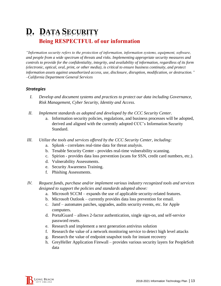# **D. DATA SECURITY Being RESPECTFUL of our information**

*"Information security refers to the protection of information, information systems, equipment, software, and people from a wide spectrum of threats and risks. Implementing appropriate security measures and controls to provide for the confidentiality, integrity, and availability of information, regardless of its form (electronic, optical, oral, print, or other media), is critical to ensure business continuity, and protect information assets against unauthorized access, use, disclosure, disruption, modification, or destruction." –California Department General Services* 

- *I. Develop and document systems and practices to protect our data including Governance, Risk Management, Cyber Security, Identity and Access.*
- *II. Implement standards as adopted and developed by the CCC Security Center.*
	- a. Information security policies, regulations, and business processes will be adopted, derived and aligned with the currently adopted CCC's Information Security Standard.
- *III. Utilize the tools and services offered by the CCC Security Center, including:*
	- a. Splunk correlates real-time data for threat analysis.
	- b. Tenable Security Center provides real-time vulnerability scanning.
	- c. Spirion provides data loss prevention (scans for SSN, credit card numbers, etc.).
	- d. Vulnerability Assessments.
	- e. Security Awareness Training.
	- f. Phishing Assessments.
- *IV. Request funds, purchase and/or implement various industry recognized tools and services designed to support the policies and standards adopted above:*
	- a. Microsoft SCCM expands the use of applicable security-related features.
	- b. Microsoft Outlook currently provides data loss prevention for email.
	- c. Jamf automates patches, upgrades, audits security events, etc. for Apple computers.
	- d. PortalGuard allows 2-factor authentication, single sign-on, and self-service password resets.
	- e. Research and implement a next generation antivirus solution
	- f. Research the value of a network monitoring service to detect high level attacks
	- g. Research the value of endpoint snapshot tools for instant recovery
	- h. GreyHeller Application Firewall provides various security layers for PeopleSoft data